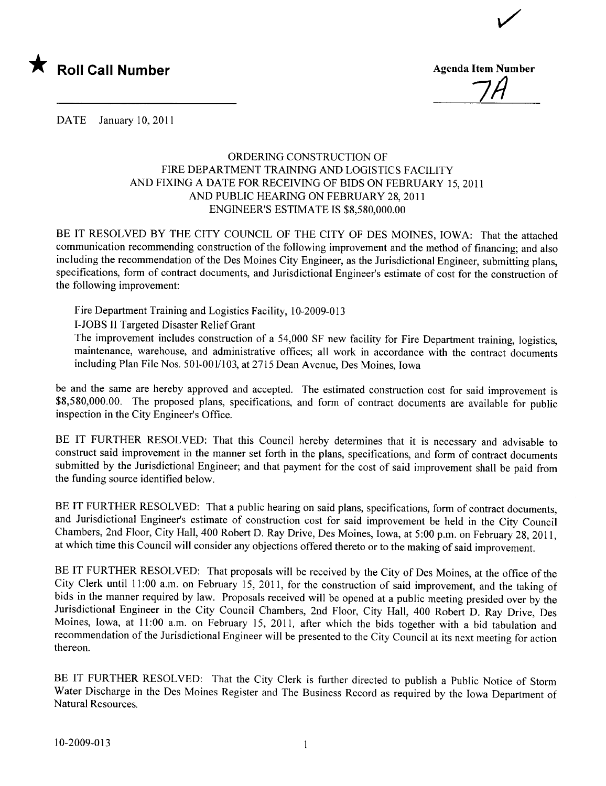

7/1

i/

DATE January 10, 2011

## ORDERING CONSTRUCTION OF FIRE DEPARTMENT TRAINING AND LOGISTICS FACILITY AND FIXING A DATE FOR RECEIVING OF BIDS ON FEBRUARY 15,2011 AND PUBLIC HEARING ON FEBRUARY 28, 2011 ENGINEER'S ESTIMATE IS \$8,580,000.00

BE IT RESOLVED BY THE CITY COUNCIL OF THE CITY OF DES MOINES, IOWA: That the attached communication recommending construction of the following improvement and the method of financing; and also including the recommendation of the Des Moines City Engineer, as the Jurisdictional Engineer, submitting plans, specifications, form of contract documents, and Jurisdictional Engineer's estimate of cost for the construction of the following improvement:

Fire Department Training and Logistics Facility, 10-2009-013

I-JOBS II Targeted Disaster Relief Grant

The improvement includes construction of a 54,000 SF new facility for Fire Department training, logistics, maintenance, warehouse, and administrative offices; all work in accordance with the contract documents including Plan File Nos. 501-001/103, at 2715 Dean Avenue, Des Moines, Iowa

be and the same are hereby approved and accepted. The estimated construction cost for said improvement is \$8,580,000.00. The proposed plans, specifications, and form of contract documents are available for public inspection in the City Engineer's Office.

BE IT FURTHER RESOLVED: That this Council hereby determines that it is necessary and advisable to construct said improvement in the manner set forth in the plans, specifications, and form of contract documents submitted by the Jurisdictional Engineer; and that payment for the cost of said improvement shall be paid from the funding source identified below.

BE IT FURTHER RESOLVED: That a public hearing on said plans, specifications, form of contract documents, and Jurisdictional Engineer's estimate of construction cost for said improvement be held in the City Council Chambers, 2nd Floor, City Hall, 400 Robert D. Ray Drive, Des Moines, Iowa, at 5:00 p.m. on February 28,2011, at which time this Council will consider any objections offered thereto or to the making of said improvement.

BE IT FURTHER RESOLVED: That proposals will be received by the City of Des Moines, at the office of the City Clerk until 11:00 a.m. on February 15,2011, for the construction of said improvement, and the taking of bids in the manner required by law. Proposals received will be opened at a public meeting presided over by the Jurisdictional Engineer in the City Council Chambers, 2nd Floor, City Hall, 400 Robert D. Ray Drive, Des Moines, Iowa, at 11:00 a.m. on February 15, 2011, after which the bids together with a bid tabulation and recommendation of the Jurisdictional Engineer will be presented to the City Council at its next meeting for action thereon.

BE IT FURTHER RESOLVED: That the City Clerk is further directed to publish a Public Notice of Storm Water Discharge in the Des Moines Register and The Business Record as required by the Iowa Department of Natural Resources.